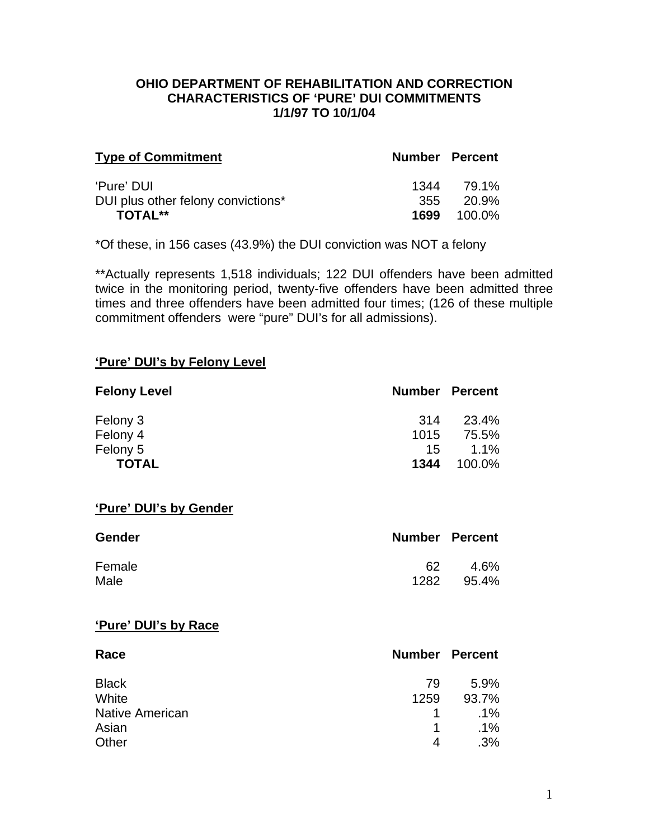#### **OHIO DEPARTMENT OF REHABILITATION AND CORRECTION CHARACTERISTICS OF 'PURE' DUI COMMITMENTS 1/1/97 TO 10/1/04**

| <b>Type of Commitment</b>          | <b>Number Percent</b> |         |
|------------------------------------|-----------------------|---------|
| 'Pure' DUI                         | 1344                  | 79.1%   |
| DUI plus other felony convictions* | 355                   | - 20.9% |
| <b>TOTAL**</b>                     | 1699                  | 100.0%  |

\*Of these, in 156 cases (43.9%) the DUI conviction was NOT a felony

\*\*Actually represents 1,518 individuals; 122 DUI offenders have been admitted twice in the monitoring period, twenty-five offenders have been admitted three times and three offenders have been admitted four times; (126 of these multiple commitment offenders were "pure" DUI's for all admissions).

#### **'Pure' DUI's by Felony Level**

| <b>Felony Level</b> | <b>Number Percent</b> |         |
|---------------------|-----------------------|---------|
| Felony 3            | -314                  | 23.4%   |
| Felony 4            | 1015                  | 75.5%   |
| Felony 5            | 15                    | $1.1\%$ |
| <b>TOTAL</b>        | 1344                  | 100.0%  |

#### **'Pure' DUI's by Gender**

| <b>Gender</b> | <b>Number Percent</b> |       |
|---------------|-----------------------|-------|
| Female        | 62                    | 4.6%  |
| Male          | 1282                  | 95.4% |

#### **'Pure' DUI's by Race**

| Race                   |      | <b>Number Percent</b> |
|------------------------|------|-----------------------|
| <b>Black</b>           | 79   | 5.9%                  |
| White                  | 1259 | 93.7%                 |
| <b>Native American</b> | 1    | $.1\%$                |
| Asian                  | 1    | $.1\%$                |
| Other                  | 4    | $.3\%$                |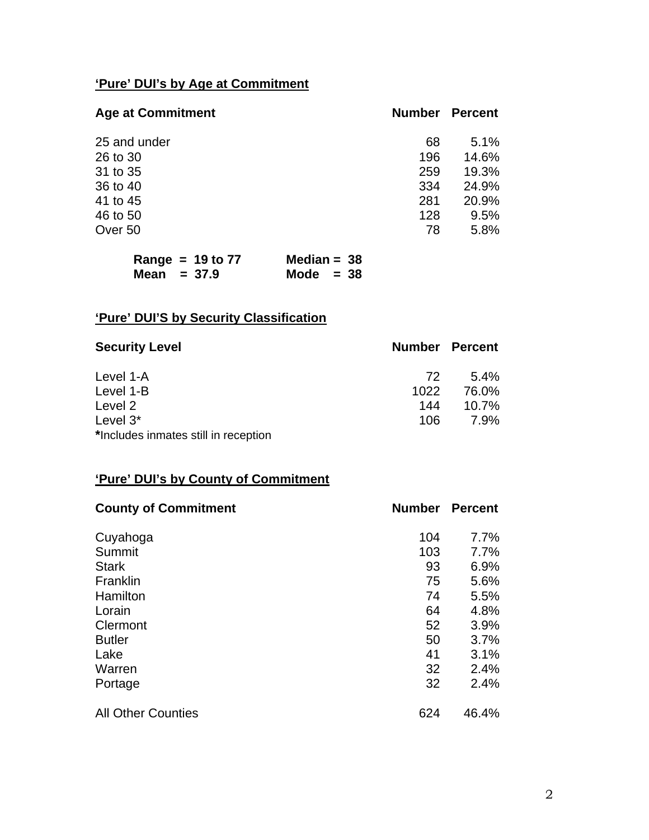# **'Pure' DUI's by Age at Commitment**

| <b>Age at Commitment</b> | <b>Number</b> | Percent |
|--------------------------|---------------|---------|
| 25 and under             | 68            | 5.1%    |
| 26 to 30                 | 196           | 14.6%   |
| 31 to 35                 | 259           | 19.3%   |
| 36 to 40                 | 334           | 24.9%   |
| 41 to 45                 | 281           | 20.9%   |
| 46 to 50                 | 128           | 9.5%    |
| Over 50                  | 78            | 5.8%    |
|                          |               |         |

| Range = $19$ to $77$ | Median = $38$ |
|----------------------|---------------|
| Mean $= 37.9$        | Mode $= 38$   |

# **'Pure' DUI'S by Security Classification**

| <b>Security Level</b>                |      | <b>Number Percent</b> |
|--------------------------------------|------|-----------------------|
| Level 1-A                            | 72.  | $5.4\%$               |
| Level 1-B                            | 1022 | 76.0%                 |
| Level 2                              | 144  | 10.7%                 |
| Level $3^*$                          | 106  | 7.9%                  |
| *Includes inmates still in reception |      |                       |

## **'Pure' DUI's by County of Commitment**

| <b>County of Commitment</b> | <b>Number</b> | <b>Percent</b> |
|-----------------------------|---------------|----------------|
| Cuyahoga                    | 104           | 7.7%           |
| Summit                      | 103           | 7.7%           |
| <b>Stark</b>                | 93            | 6.9%           |
| Franklin                    | 75            | 5.6%           |
| Hamilton                    | 74            | 5.5%           |
| Lorain                      | 64            | 4.8%           |
| Clermont                    | 52            | 3.9%           |
| <b>Butler</b>               | 50            | 3.7%           |
| Lake                        | 41            | 3.1%           |
| Warren                      | 32            | 2.4%           |
| Portage                     | 32            | 2.4%           |
| <b>All Other Counties</b>   | 624           | 46.4%          |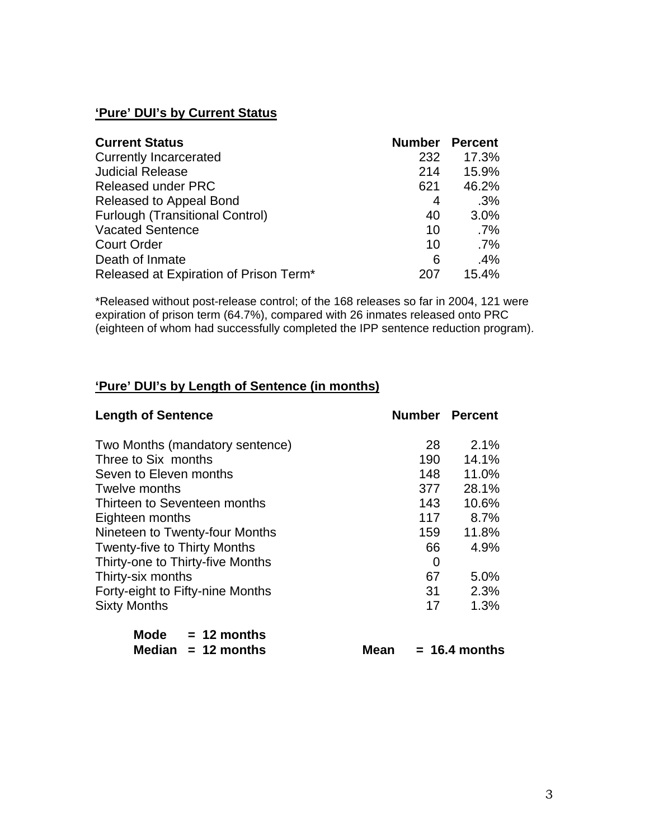## **'Pure' DUI's by Current Status**

| <b>Current Status</b>                  | <b>Number Percent</b> |        |
|----------------------------------------|-----------------------|--------|
| <b>Currently Incarcerated</b>          | 232                   | 17.3%  |
| <b>Judicial Release</b>                | 214                   | 15.9%  |
| <b>Released under PRC</b>              | 621                   | 46.2%  |
| Released to Appeal Bond                | 4                     | .3%    |
| <b>Furlough (Transitional Control)</b> | 40                    | 3.0%   |
| <b>Vacated Sentence</b>                | 10                    | $.7\%$ |
| <b>Court Order</b>                     | 10                    | $.7\%$ |
| Death of Inmate                        | 6                     | .4%    |
| Released at Expiration of Prison Term* | 207                   | 15.4%  |

\*Released without post-release control; of the 168 releases so far in 2004, 121 were expiration of prison term (64.7%), compared with 26 inmates released onto PRC (eighteen of whom had successfully completed the IPP sentence reduction program).

### **'Pure' DUI's by Length of Sentence (in months)**

| <b>Length of Sentence</b>           | <b>Number Percent</b> |       |
|-------------------------------------|-----------------------|-------|
| Two Months (mandatory sentence)     | 28                    | 2.1%  |
| Three to Six months                 | 190                   | 14.1% |
| Seven to Eleven months              | 148                   | 11.0% |
| Twelve months                       | 377                   | 28.1% |
| Thirteen to Seventeen months        | 143                   | 10.6% |
| Eighteen months                     | 117                   | 8.7%  |
| Nineteen to Twenty-four Months      | 159                   | 11.8% |
| <b>Twenty-five to Thirty Months</b> | 66                    | 4.9%  |
| Thirty-one to Thirty-five Months    | 0                     |       |
| Thirty-six months                   | 67                    | 5.0%  |
| Forty-eight to Fifty-nine Months    | 31                    | 2.3%  |
| <b>Sixty Months</b>                 | 17                    | 1.3%  |
| Mode $= 12$ months                  |                       |       |

| Mode $= 12$ months   |      |                 |
|----------------------|------|-----------------|
| Median $= 12$ months | Mean | $= 16.4$ months |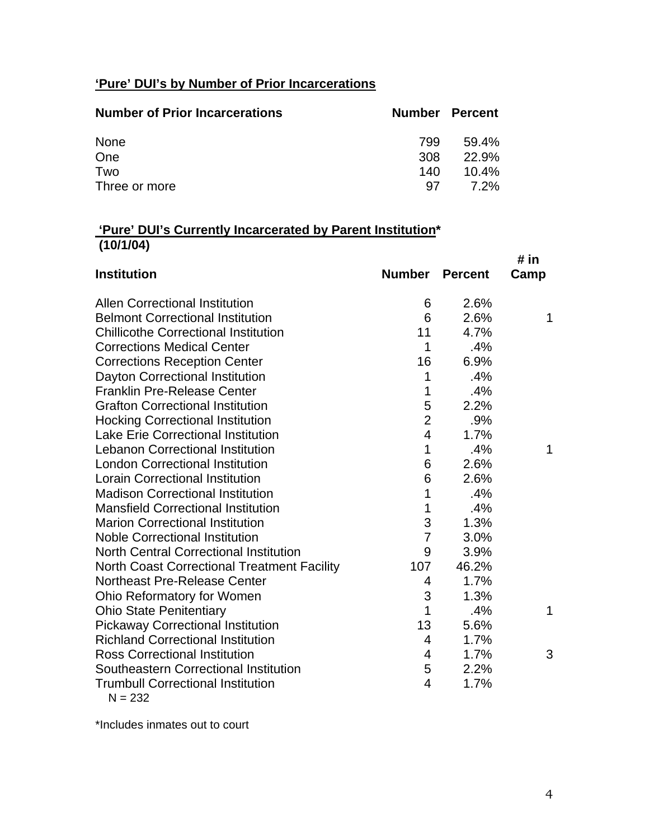## **'Pure' DUI's by Number of Prior Incarcerations**

| <b>Number of Prior Incarcerations</b> | Number Percent |          |
|---------------------------------------|----------------|----------|
| None                                  | 799            | 59.4%    |
| One                                   | 308            | 22.9%    |
| Two                                   | 140            | $10.4\%$ |
| Three or more                         | -97            | 7.2%     |

## **'Pure' DUI's Currently Incarcerated by Parent Institution\* (10/1/04)**

|                                                    |                         |       | # in |
|----------------------------------------------------|-------------------------|-------|------|
| <b>Institution</b>                                 | <b>Number Percent</b>   |       | Camp |
| <b>Allen Correctional Institution</b>              | 6                       | 2.6%  |      |
| <b>Belmont Correctional Institution</b>            | 6                       | 2.6%  | 1    |
| <b>Chillicothe Correctional Institution</b>        | 11                      | 4.7%  |      |
| <b>Corrections Medical Center</b>                  | 1                       | .4%   |      |
| <b>Corrections Reception Center</b>                | 16                      | 6.9%  |      |
| Dayton Correctional Institution                    | 1                       | .4%   |      |
| <b>Franklin Pre-Release Center</b>                 | 1                       | .4%   |      |
| <b>Grafton Correctional Institution</b>            | 5                       | 2.2%  |      |
| <b>Hocking Correctional Institution</b>            | $\overline{2}$          | .9%   |      |
| <b>Lake Erie Correctional Institution</b>          | $\overline{\mathbf{4}}$ | 1.7%  |      |
| <b>Lebanon Correctional Institution</b>            | 1                       | .4%   | 1    |
| <b>London Correctional Institution</b>             | 6                       | 2.6%  |      |
| <b>Lorain Correctional Institution</b>             | 6                       | 2.6%  |      |
| <b>Madison Correctional Institution</b>            | 1                       | .4%   |      |
| <b>Mansfield Correctional Institution</b>          | 1                       | .4%   |      |
| <b>Marion Correctional Institution</b>             | 3                       | 1.3%  |      |
| <b>Noble Correctional Institution</b>              | $\overline{7}$          | 3.0%  |      |
| <b>North Central Correctional Institution</b>      | 9                       | 3.9%  |      |
| <b>North Coast Correctional Treatment Facility</b> | 107                     | 46.2% |      |
| <b>Northeast Pre-Release Center</b>                | 4                       | 1.7%  |      |
| <b>Ohio Reformatory for Women</b>                  | 3                       | 1.3%  |      |
| <b>Ohio State Penitentiary</b>                     | 1                       | .4%   | 1    |
| <b>Pickaway Correctional Institution</b>           | 13                      | 5.6%  |      |
| <b>Richland Correctional Institution</b>           | $\overline{4}$          | 1.7%  |      |
| <b>Ross Correctional Institution</b>               | 4                       | 1.7%  | 3    |
| Southeastern Correctional Institution              | 5                       | 2.2%  |      |
| <b>Trumbull Correctional Institution</b>           | 4                       | 1.7%  |      |
| $N = 232$                                          |                         |       |      |

\*Includes inmates out to court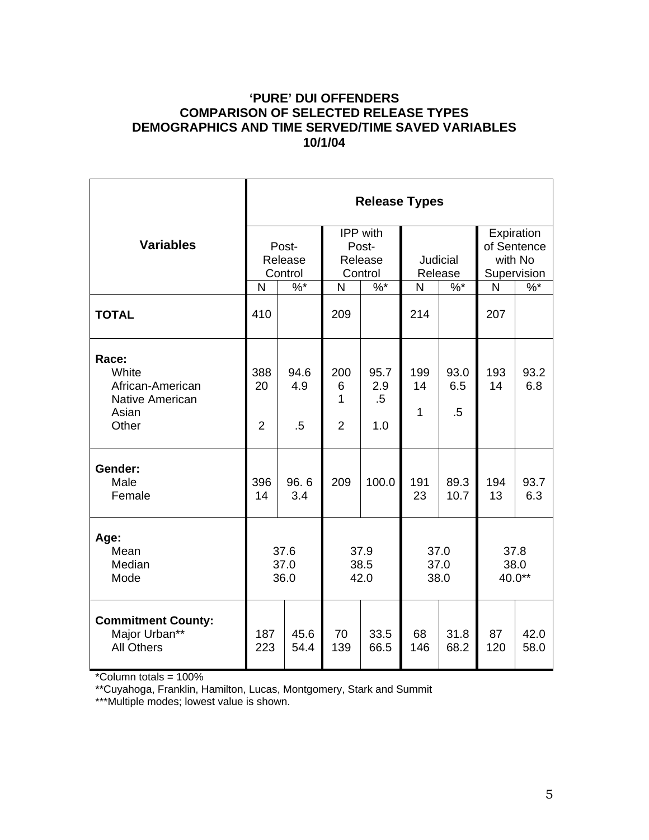#### **'PURE' DUI OFFENDERS COMPARISON OF SELECTED RELEASE TYPES DEMOGRAPHICS AND TIME SERVED/TIME SAVED VARIABLES 10/1/04**

|                                                                                | <b>Release Types</b>        |                       |                                                |                              |                     |                      |                                                     |               |  |
|--------------------------------------------------------------------------------|-----------------------------|-----------------------|------------------------------------------------|------------------------------|---------------------|----------------------|-----------------------------------------------------|---------------|--|
| <b>Variables</b>                                                               | Post-<br>Release<br>Control |                       | <b>IPP</b> with<br>Post-<br>Release<br>Control |                              | Judicial<br>Release |                      | Expiration<br>of Sentence<br>with No<br>Supervision |               |  |
|                                                                                | $\frac{9}{6}$<br>N          |                       | $\frac{9}{6}$<br>N                             |                              | $\%$ *<br>N         |                      | $\mathsf{N}$                                        | $\frac{9}{6}$ |  |
| <b>TOTAL</b>                                                                   | 410                         |                       | 209                                            |                              | 214                 |                      | 207                                                 |               |  |
| Race:<br>White<br>African-American<br><b>Native American</b><br>Asian<br>Other | 388<br>20<br>$\overline{2}$ | 94.6<br>4.9<br>$.5\,$ | 200<br>6<br>1<br>$\overline{2}$                | 95.7<br>2.9<br>$.5\,$<br>1.0 | 199<br>14<br>1      | 93.0<br>6.5<br>.5    | 193<br>14                                           | 93.2<br>6.8   |  |
| Gender:<br>Male<br>Female                                                      | 396<br>14                   | 96.6<br>3.4           | 209                                            | 100.0                        | 191<br>23           | 89.3<br>10.7         | 194<br>13                                           | 93.7<br>6.3   |  |
| Age:<br>Mean<br>Median<br>Mode                                                 | 37.6<br>37.0<br>36.0        |                       |                                                | 37.9<br>38.5<br>42.0         |                     | 37.0<br>37.0<br>38.0 | 37.8<br>38.0<br>40.0**                              |               |  |
| <b>Commitment County:</b><br>Major Urban**<br><b>All Others</b>                | 187<br>223                  | 45.6<br>54.4          | 70<br>139                                      | 33.5<br>66.5                 | 68<br>146           | 31.8<br>68.2         | 87<br>120                                           | 42.0<br>58.0  |  |

\*Column totals = 100%

\*\*Cuyahoga, Franklin, Hamilton, Lucas, Montgomery, Stark and Summit

\*\*\*Multiple modes; lowest value is shown.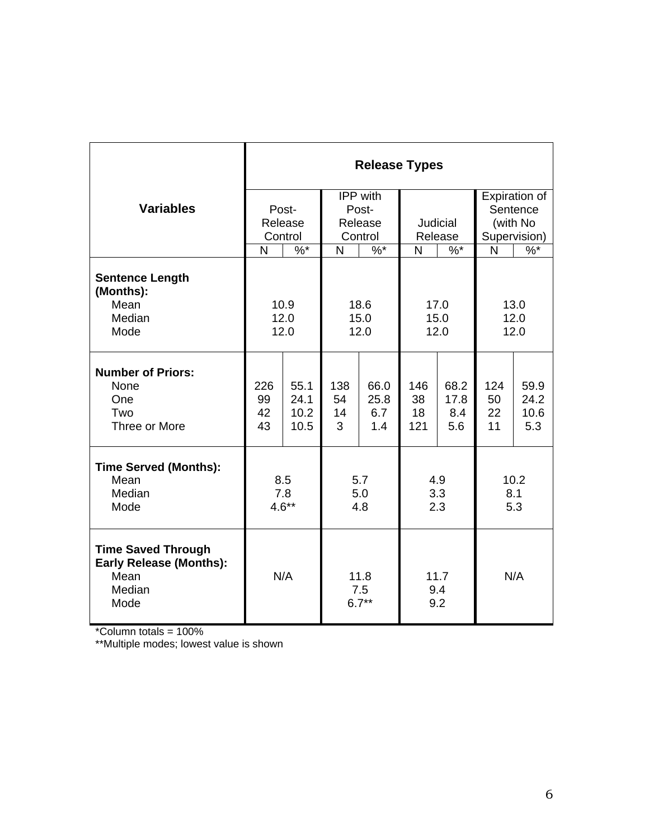|                                                                                       | <b>Release Types</b>              |              |                               |              |                        |              |                             |              |
|---------------------------------------------------------------------------------------|-----------------------------------|--------------|-------------------------------|--------------|------------------------|--------------|-----------------------------|--------------|
| <b>Variables</b>                                                                      | Post-                             |              | IPP with<br>Post-             |              |                        |              | Expiration of<br>Sentence   |              |
|                                                                                       | Release<br>Control<br>$\%$ *<br>N |              | Release                       |              | Judicial               |              | (with No                    |              |
|                                                                                       |                                   |              | Control<br>$\frac{9}{6}$<br>N |              | Release<br>$\%$ *<br>N |              | Supervision)<br>$\%$ *<br>N |              |
|                                                                                       |                                   |              |                               |              |                        |              |                             |              |
| <b>Sentence Length</b><br>(Months):                                                   |                                   |              |                               |              |                        |              |                             |              |
| Mean                                                                                  | 10.9                              |              | 18.6                          |              | 17.0                   |              | 13.0                        |              |
| Median<br>Mode                                                                        | 12.0<br>12.0                      |              | 15.0<br>12.0                  |              | 15.0<br>12.0           |              | 12.0<br>12.0                |              |
|                                                                                       |                                   |              |                               |              |                        |              |                             |              |
| <b>Number of Priors:</b>                                                              |                                   |              |                               |              |                        |              |                             |              |
| None<br>One                                                                           | 226<br>99                         | 55.1<br>24.1 | 138<br>54                     | 66.0<br>25.8 | 146<br>38              | 68.2<br>17.8 | 124<br>50                   | 59.9<br>24.2 |
| Two                                                                                   | 42                                | 10.2         | 14                            | 6.7          | 18                     | 8.4          | 22                          | 10.6         |
| Three or More                                                                         | 43                                | 10.5         | 3                             | 1.4          | 121                    | 5.6          | 11                          | 5.3          |
| <b>Time Served (Months):</b>                                                          |                                   |              |                               |              |                        |              |                             |              |
| Mean                                                                                  | 8.5                               |              | 5.7                           |              | 4.9                    |              | 10.2                        |              |
| Median                                                                                | 7.8                               |              | 5.0                           |              | 3.3                    |              | 8.1                         |              |
| Mode                                                                                  |                                   | $4.6**$      | 4.8                           |              | 2.3                    |              | 5.3                         |              |
| <b>Time Saved Through</b><br><b>Early Release (Months):</b><br>Mean<br>Median<br>Mode | N/A                               |              | 11.8<br>7.5<br>$6.7**$        |              | 11.7<br>9.4<br>9.2     |              | N/A                         |              |

\*Column totals = 100%

\*\*Multiple modes; lowest value is shown